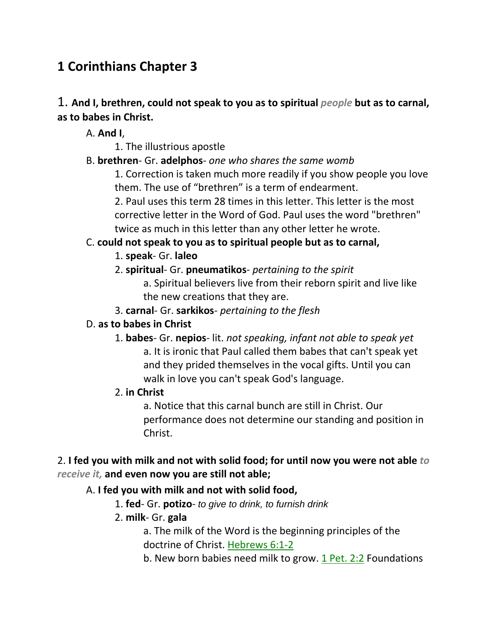# **1 Corinthians Chapter 3**

# 1. **And I, brethren, could not speak to you as to spiritual** *people* **but as to carnal, as to babes in Christ.**

A. **And I**,

1. The illustrious apostle

# B. **brethren**- Gr. **adelphos**- *one who shares the same womb*

1. Correction is taken much more readily if you show people you love them. The use of "brethren" is a term of endearment.

2. Paul uses this term 28 times in this letter. This letter is the most corrective letter in the Word of God. Paul uses the word "brethren" twice as much in this letter than any other letter he wrote.

# C. **could not speak to you as to spiritual people but as to carnal,**

# 1. **speak**- Gr. **laleo**

2. **spiritual**- Gr. **pneumatikos**- *pertaining to the spirit*

a. Spiritual believers live from their reborn spirit and live like the new creations that they are.

3. **carnal**- Gr. **sarkikos**- *pertaining to the flesh*

# D. **as to babes in Christ**

1. **babes**- Gr. **nepios**- lit. *not speaking, infant not able to speak yet* a. It is ironic that Paul called them babes that can't speak yet and they prided themselves in the vocal gifts. Until you can walk in love you can't speak God's language.

# 2. **in Christ**

a. Notice that this carnal bunch are still in Christ. Our performance does not determine our standing and position in Christ.

# 2. **I fed you with milk and not with solid food; for until now you were not able** *to receive it,* **and even now you are still not able;**

# A. **I fed you with milk and not with solid food,**

- 1. **fed** Gr. **potizo** *to give to drink, to furnish drink*
- 2. **milk** Gr. **gala**

a. The milk of the Word is the beginning principles of the doctrine of Christ. Hebrews 6:1-2

b. New born babies need milk to grow. 1 Pet. 2:2 Foundations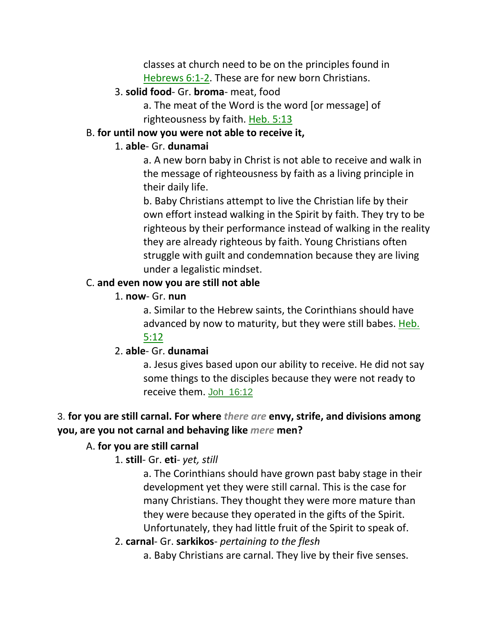classes at church need to be on the principles found in Hebrews 6:1-2. These are for new born Christians.

#### 3. **solid food**- Gr. **broma**- meat, food

a. The meat of the Word is the word [or message] of righteousness by faith. Heb. 5:13

#### B. **for until now you were not able to receive it,**

#### 1. **able**- Gr. **dunamai**

a. A new born baby in Christ is not able to receive and walk in the message of righteousness by faith as a living principle in their daily life.

b. Baby Christians attempt to live the Christian life by their own effort instead walking in the Spirit by faith. They try to be righteous by their performance instead of walking in the reality they are already righteous by faith. Young Christians often struggle with guilt and condemnation because they are living under a legalistic mindset.

### C. **and even now you are still not able**

### 1. **now**- Gr. **nun**

a. Similar to the Hebrew saints, the Corinthians should have advanced by now to maturity, but they were still babes. Heb. 5:12

### 2. **able**- Gr. **dunamai**

a. Jesus gives based upon our ability to receive. He did not say some things to the disciples because they were not ready to receive them. Joh\_16:12

# 3. **for you are still carnal. For where** *there are* **envy, strife, and divisions among you, are you not carnal and behaving like** *mere* **men?**

### A. **for you are still carnal**

# 1. **still**- Gr. **eti**- *yet, still*

a. The Corinthians should have grown past baby stage in their development yet they were still carnal. This is the case for many Christians. They thought they were more mature than they were because they operated in the gifts of the Spirit. Unfortunately, they had little fruit of the Spirit to speak of.

### 2. **carnal**- Gr. **sarkikos**- *pertaining to the flesh*

a. Baby Christians are carnal. They live by their five senses.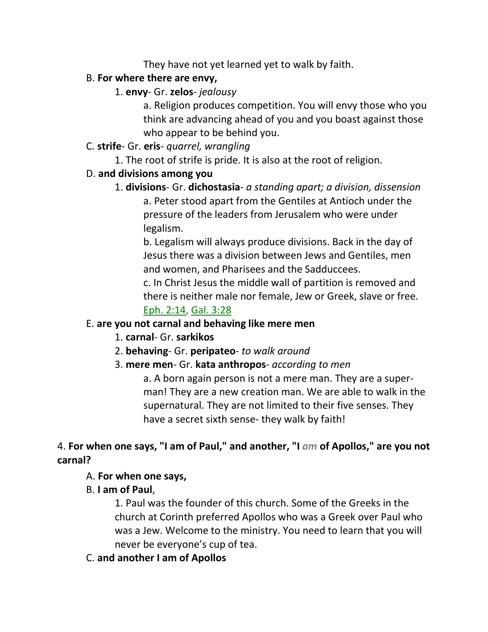They have not yet learned yet to walk by faith.

# B. **For where there are envy,**

# 1. **envy**- Gr. **zelos**- *jealousy*

a. Religion produces competition. You will envy those who you think are advancing ahead of you and you boast against those who appear to be behind you.

# C. **strife**- Gr. **eris**- *quarrel, wrangling*

1. The root of strife is pride. It is also at the root of religion.

# D. **and divisions among you**

1. **divisions**- Gr. **dichostasia**- *a standing apart; a division, dissension* a. Peter stood apart from the Gentiles at Antioch under the pressure of the leaders from Jerusalem who were under legalism.

b. Legalism will always produce divisions. Back in the day of Jesus there was a division between Jews and Gentiles, men and women, and Pharisees and the Sadduccees.

c. In Christ Jesus the middle wall of partition is removed and there is neither male nor female, Jew or Greek, slave or free. Eph. 2:14, Gal. 3:28

# E. **are you not carnal and behaving like mere men**

- 1. **carnal** Gr. **sarkikos**
- 2. **behaving** Gr. **peripateo** *to walk around*
- 3. **mere men** Gr. **kata anthropos** *according to men*

a. A born again person is not a mere man. They are a superman! They are a new creation man. We are able to walk in the supernatural. They are not limited to their five senses. They have a secret sixth sense- they walk by faith!

# 4. **For when one says, "I am of Paul," and another, "I** *am* **of Apollos," are you not carnal?**

# A. **For when one says,**

# B. **I am of Paul**,

1. Paul was the founder of this church. Some of the Greeks in the church at Corinth preferred Apollos who was a Greek over Paul who was a Jew. Welcome to the ministry. You need to learn that you will never be everyone's cup of tea.

# C. **and another I am of Apollos**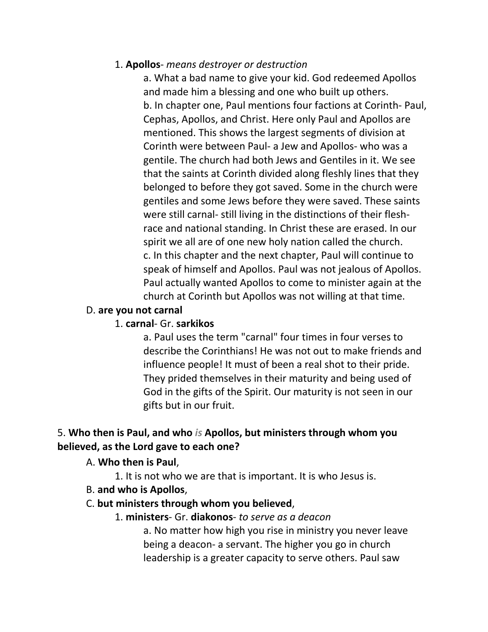# 1. **Apollos**- *means destroyer or destruction*

a. What a bad name to give your kid. God redeemed Apollos and made him a blessing and one who built up others. b. In chapter one, Paul mentions four factions at Corinth- Paul, Cephas, Apollos, and Christ. Here only Paul and Apollos are mentioned. This shows the largest segments of division at Corinth were between Paul- a Jew and Apollos- who was a gentile. The church had both Jews and Gentiles in it. We see that the saints at Corinth divided along fleshly lines that they belonged to before they got saved. Some in the church were gentiles and some Jews before they were saved. These saints were still carnal- still living in the distinctions of their fleshrace and national standing. In Christ these are erased. In our spirit we all are of one new holy nation called the church. c. In this chapter and the next chapter, Paul will continue to speak of himself and Apollos. Paul was not jealous of Apollos. Paul actually wanted Apollos to come to minister again at the church at Corinth but Apollos was not willing at that time.

### D. **are you not carnal**

### 1. **carnal**- Gr. **sarkikos**

a. Paul uses the term "carnal" four times in four verses to describe the Corinthians! He was not out to make friends and influence people! It must of been a real shot to their pride. They prided themselves in their maturity and being used of God in the gifts of the Spirit. Our maturity is not seen in our gifts but in our fruit.

# 5. **Who then is Paul, and who** *is* **Apollos, but ministers through whom you believed, as the Lord gave to each one?**

### A. **Who then is Paul**,

1. It is not who we are that is important. It is who Jesus is.

B. **and who is Apollos**,

# C. **but ministers through whom you believed**,

# 1. **ministers**- Gr. **diakonos**- *to serve as a deacon*

a. No matter how high you rise in ministry you never leave being a deacon- a servant. The higher you go in church leadership is a greater capacity to serve others. Paul saw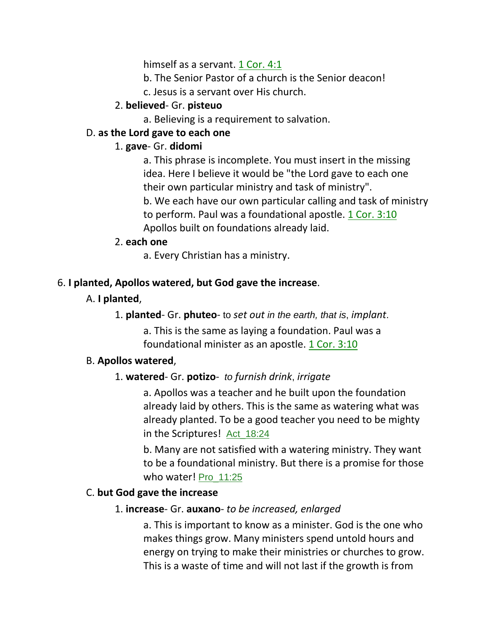himself as a servant. 1 Cor. 4:1

- b. The Senior Pastor of a church is the Senior deacon!
- c. Jesus is a servant over His church.

# 2. **believed**- Gr. **pisteuo**

a. Believing is a requirement to salvation.

# D. **as the Lord gave to each one**

# 1. **gave**- Gr. **didomi**

a. This phrase is incomplete. You must insert in the missing idea. Here I believe it would be "the Lord gave to each one their own particular ministry and task of ministry".

b. We each have our own particular calling and task of ministry to perform. Paul was a foundational apostle. 1 Cor. 3:10 Apollos built on foundations already laid.

# 2. **each one**

a. Every Christian has a ministry.

# 6. **I planted, Apollos watered, but God gave the increase**.

# A. **I planted**,

1. **planted**- Gr. **phuteo**- to *set out in the earth, that is*, *implant*.

a. This is the same as laying a foundation. Paul was a foundational minister as an apostle. 1 Cor. 3:10

# B. **Apollos watered**,

# 1. **watered**- Gr. **potizo**- *to furnish drink*, *irrigate*

a. Apollos was a teacher and he built upon the foundation already laid by others. This is the same as watering what was already planted. To be a good teacher you need to be mighty in the Scriptures! Act\_18:24

b. Many are not satisfied with a watering ministry. They want to be a foundational ministry. But there is a promise for those who water! Pro\_11:25

# C. **but God gave the increase**

# 1. **increase**- Gr. **auxano**- *to be increased, enlarged*

a. This is important to know as a minister. God is the one who makes things grow. Many ministers spend untold hours and energy on trying to make their ministries or churches to grow. This is a waste of time and will not last if the growth is from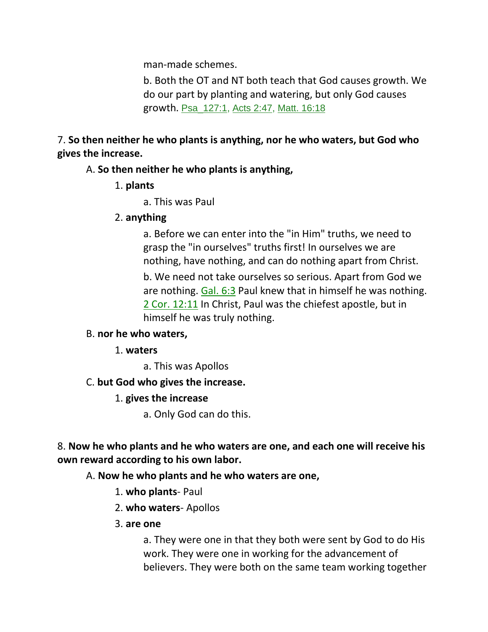man-made schemes.

b. Both the OT and NT both teach that God causes growth. We do our part by planting and watering, but only God causes growth. Psa\_127:1, Acts 2:47, Matt. 16:18

7. **So then neither he who plants is anything, nor he who waters, but God who gives the increase.**

# A. **So then neither he who plants is anything,**

- 1. **plants**
	- a. This was Paul

# 2. **anything**

a. Before we can enter into the "in Him" truths, we need to grasp the "in ourselves" truths first! In ourselves we are nothing, have nothing, and can do nothing apart from Christ.

b. We need not take ourselves so serious. Apart from God we are nothing. Gal. 6:3 Paul knew that in himself he was nothing. 2 Cor. 12:11 In Christ, Paul was the chiefest apostle, but in himself he was truly nothing.

### B. **nor he who waters,**

- 1. **waters**
	- a. This was Apollos

# C. **but God who gives the increase.**

# 1. **gives the increase**

a. Only God can do this.

# 8. **Now he who plants and he who waters are one, and each one will receive his own reward according to his own labor.**

# A. **Now he who plants and he who waters are one,**

- 1. **who plants** Paul
- 2. **who waters** Apollos
- 3. **are one**

a. They were one in that they both were sent by God to do His work. They were one in working for the advancement of believers. They were both on the same team working together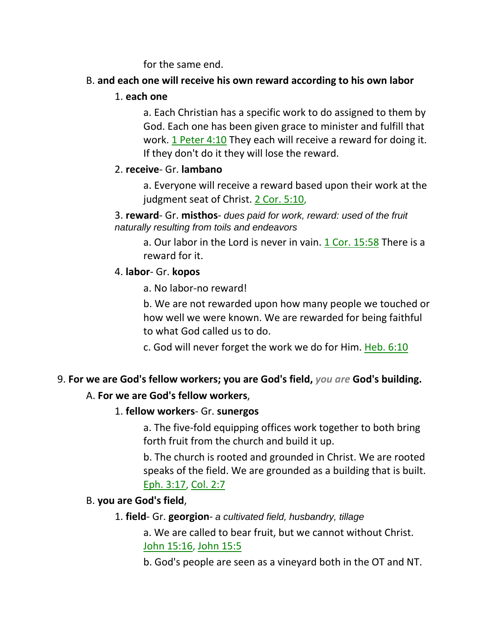for the same end.

# B. **and each one will receive his own reward according to his own labor**

### 1. **each one**

a. Each Christian has a specific work to do assigned to them by God. Each one has been given grace to minister and fulfill that work. 1 Peter 4:10 They each will receive a reward for doing it. If they don't do it they will lose the reward.

# 2. **receive**- Gr. **lambano**

a. Everyone will receive a reward based upon their work at the judgment seat of Christ. 2 Cor. 5:10,

3. **reward**- Gr. **misthos**- *dues paid for work, reward: used of the fruit naturally resulting from toils and endeavors*

a. Our labor in the Lord is never in vain. 1 Cor. 15:58 There is a reward for it.

# 4. **labor**- Gr. **kopos**

a. No labor-no reward!

b. We are not rewarded upon how many people we touched or how well we were known. We are rewarded for being faithful to what God called us to do.

c. God will never forget the work we do for Him. Heb. 6:10

# 9. **For we are God's fellow workers; you are God's field,** *you are* **God's building.**

# A. **For we are God's fellow workers**,

# 1. **fellow workers**- Gr. **sunergos**

a. The five-fold equipping offices work together to both bring forth fruit from the church and build it up.

b. The church is rooted and grounded in Christ. We are rooted speaks of the field. We are grounded as a building that is built. Eph. 3:17, Col. 2:7

# B. **you are God's field**,

# 1. **field**- Gr. **georgion**- *a cultivated field, husbandry, tillage*

a. We are called to bear fruit, but we cannot without Christ. John 15:16, John 15:5

b. God's people are seen as a vineyard both in the OT and NT.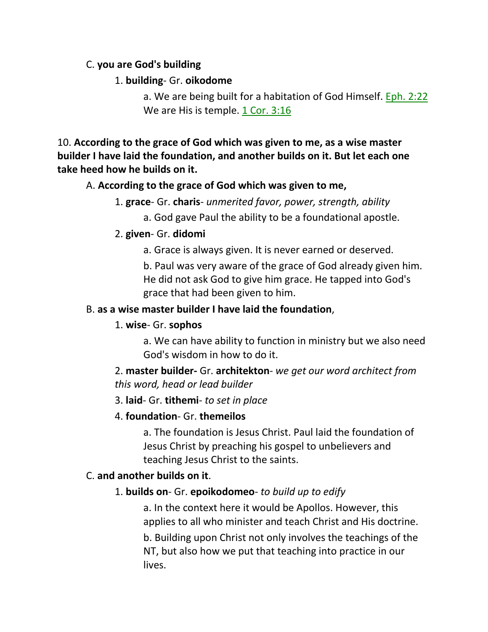### C. **you are God's building**

### 1. **building**- Gr. **oikodome**

a. We are being built for a habitation of God Himself. Eph. 2:22 We are His is temple. 1 Cor. 3:16

10. **According to the grace of God which was given to me, as a wise master builder I have laid the foundation, and another builds on it. But let each one take heed how he builds on it.**

### A. **According to the grace of God which was given to me,**

1. **grace**- Gr. **charis**- *unmerited favor, power, strength, ability*

a. God gave Paul the ability to be a foundational apostle.

# 2. **given**- Gr. **didomi**

a. Grace is always given. It is never earned or deserved.

b. Paul was very aware of the grace of God already given him. He did not ask God to give him grace. He tapped into God's grace that had been given to him.

# B. **as a wise master builder I have laid the foundation**,

# 1. **wise**- Gr. **sophos**

a. We can have ability to function in ministry but we also need God's wisdom in how to do it.

2. **master builder-** Gr. **architekton**- *we get our word architect from this word, head or lead builder*

# 3. **laid**- Gr. **tithemi**- *to set in place*

# 4. **foundation**- Gr. **themeilos**

a. The foundation is Jesus Christ. Paul laid the foundation of Jesus Christ by preaching his gospel to unbelievers and teaching Jesus Christ to the saints.

# C. **and another builds on it**.

# 1. **builds on**- Gr. **epoikodomeo**- *to build up to edify*

a. In the context here it would be Apollos. However, this applies to all who minister and teach Christ and His doctrine. b. Building upon Christ not only involves the teachings of the NT, but also how we put that teaching into practice in our lives.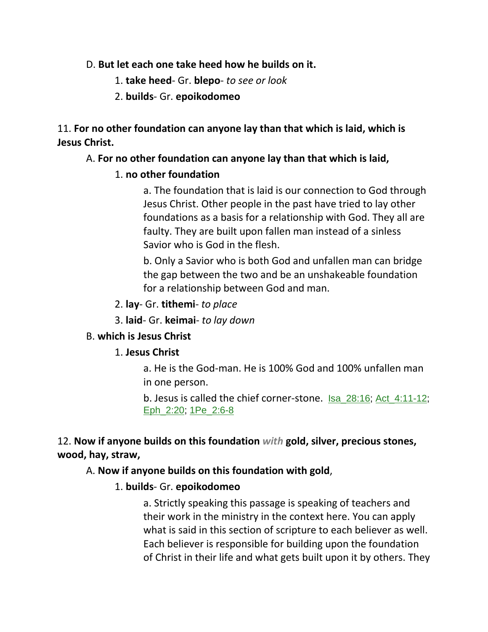#### D. **But let each one take heed how he builds on it.**

- 1. **take heed** Gr. **blepo** *to see or look*
- 2. **builds** Gr. **epoikodomeo**

# 11. **For no other foundation can anyone lay than that which is laid, which is Jesus Christ.**

### A. **For no other foundation can anyone lay than that which is laid,**

### 1. **no other foundation**

a. The foundation that is laid is our connection to God through Jesus Christ. Other people in the past have tried to lay other foundations as a basis for a relationship with God. They all are faulty. They are built upon fallen man instead of a sinless Savior who is God in the flesh.

b. Only a Savior who is both God and unfallen man can bridge the gap between the two and be an unshakeable foundation for a relationship between God and man.

### 2. **lay**- Gr. **tithemi**- *to place*

3. **laid**- Gr. **keimai**- *to lay down*

# B. **which is Jesus Christ**

### 1. **Jesus Christ**

a. He is the God-man. He is 100% God and 100% unfallen man in one person.

b. Jesus is called the chief corner-stone. Isa\_28:16; Act\_4:11-12; Eph\_2:20; 1Pe\_2:6-8

12. **Now if anyone builds on this foundation** *with* **gold, silver, precious stones, wood, hay, straw,** 

### A. **Now if anyone builds on this foundation with gold**,

# 1. **builds**- Gr. **epoikodomeo**

a. Strictly speaking this passage is speaking of teachers and their work in the ministry in the context here. You can apply what is said in this section of scripture to each believer as well. Each believer is responsible for building upon the foundation of Christ in their life and what gets built upon it by others. They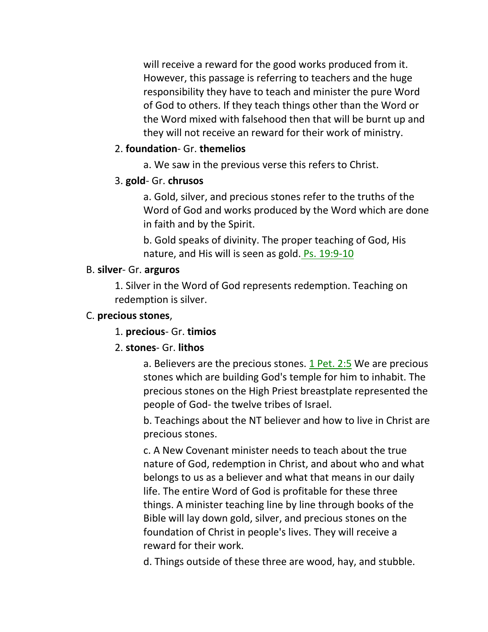will receive a reward for the good works produced from it. However, this passage is referring to teachers and the huge responsibility they have to teach and minister the pure Word of God to others. If they teach things other than the Word or the Word mixed with falsehood then that will be burnt up and they will not receive an reward for their work of ministry.

#### 2. **foundation**- Gr. **themelios**

a. We saw in the previous verse this refers to Christ.

#### 3. **gold**- Gr. **chrusos**

a. Gold, silver, and precious stones refer to the truths of the Word of God and works produced by the Word which are done in faith and by the Spirit.

b. Gold speaks of divinity. The proper teaching of God, His nature, and His will is seen as gold. Ps. 19:9-10

#### B. **silver**- Gr. **arguros**

1. Silver in the Word of God represents redemption. Teaching on redemption is silver.

### C. **precious stones**,

1. **precious**- Gr. **timios**

### 2. **stones**- Gr. **lithos**

a. Believers are the precious stones. 1 Pet. 2:5 We are precious stones which are building God's temple for him to inhabit. The precious stones on the High Priest breastplate represented the people of God- the twelve tribes of Israel.

b. Teachings about the NT believer and how to live in Christ are precious stones.

c. A New Covenant minister needs to teach about the true nature of God, redemption in Christ, and about who and what belongs to us as a believer and what that means in our daily life. The entire Word of God is profitable for these three things. A minister teaching line by line through books of the Bible will lay down gold, silver, and precious stones on the foundation of Christ in people's lives. They will receive a reward for their work.

d. Things outside of these three are wood, hay, and stubble.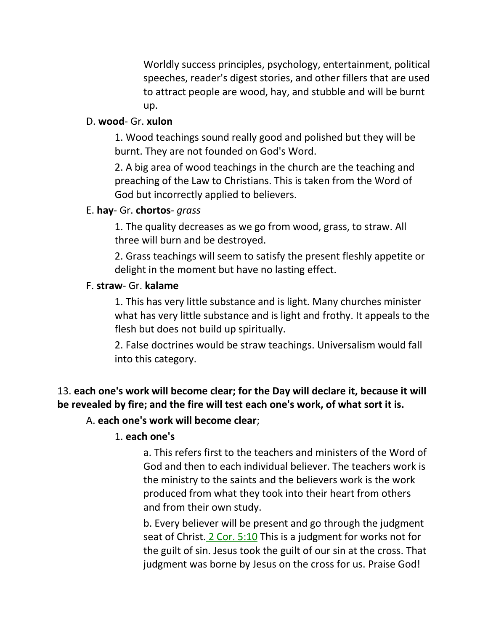Worldly success principles, psychology, entertainment, political speeches, reader's digest stories, and other fillers that are used to attract people are wood, hay, and stubble and will be burnt up.

#### D. **wood**- Gr. **xulon**

1. Wood teachings sound really good and polished but they will be burnt. They are not founded on God's Word.

2. A big area of wood teachings in the church are the teaching and preaching of the Law to Christians. This is taken from the Word of God but incorrectly applied to believers.

#### E. **hay**- Gr. **chortos**- *grass*

1. The quality decreases as we go from wood, grass, to straw. All three will burn and be destroyed.

2. Grass teachings will seem to satisfy the present fleshly appetite or delight in the moment but have no lasting effect.

#### F. **straw**- Gr. **kalame**

1. This has very little substance and is light. Many churches minister what has very little substance and is light and frothy. It appeals to the flesh but does not build up spiritually.

2. False doctrines would be straw teachings. Universalism would fall into this category.

# 13. **each one's work will become clear; for the Day will declare it, because it will be revealed by fire; and the fire will test each one's work, of what sort it is.**

A. **each one's work will become clear**;

### 1. **each one's**

a. This refers first to the teachers and ministers of the Word of God and then to each individual believer. The teachers work is the ministry to the saints and the believers work is the work produced from what they took into their heart from others and from their own study.

b. Every believer will be present and go through the judgment seat of Christ. 2 Cor. 5:10 This is a judgment for works not for the guilt of sin. Jesus took the guilt of our sin at the cross. That judgment was borne by Jesus on the cross for us. Praise God!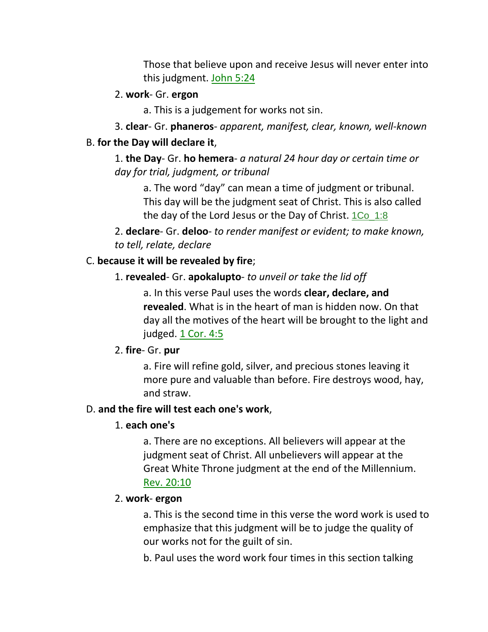Those that believe upon and receive Jesus will never enter into this judgment. John 5:24

#### 2. **work**- Gr. **ergon**

a. This is a judgement for works not sin.

3. **clear**- Gr. **phaneros**- *apparent, manifest, clear, known, well-known*

#### B. **for the Day will declare it**,

1. **the Day**- Gr. **ho hemera**- *a natural 24 hour day or certain time or day for trial, judgment, or tribunal*

a. The word "day" can mean a time of judgment or tribunal. This day will be the judgment seat of Christ. This is also called the day of the Lord Jesus or the Day of Christ.  $1Co\_1:8$ 

2. **declare**- Gr. **deloo**- *to render manifest or evident; to make known, to tell, relate, declare*

### C. **because it will be revealed by fire**;

### 1. **revealed**- Gr. **apokalupto**- *to unveil or take the lid off*

a. In this verse Paul uses the words **clear, declare, and revealed**. What is in the heart of man is hidden now. On that day all the motives of the heart will be brought to the light and judged. 1 Cor. 4:5

### 2. **fire**- Gr. **pur**

a. Fire will refine gold, silver, and precious stones leaving it more pure and valuable than before. Fire destroys wood, hay, and straw.

### D. **and the fire will test each one's work**,

### 1. **each one's**

a. There are no exceptions. All believers will appear at the judgment seat of Christ. All unbelievers will appear at the Great White Throne judgment at the end of the Millennium. Rev. 20:10

### 2. **work**- **ergon**

a. This is the second time in this verse the word work is used to emphasize that this judgment will be to judge the quality of our works not for the guilt of sin.

b. Paul uses the word work four times in this section talking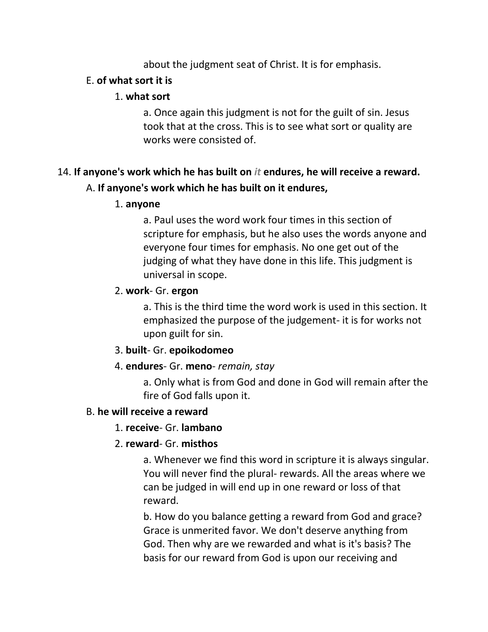about the judgment seat of Christ. It is for emphasis.

# E. **of what sort it is**

### 1. **what sort**

a. Once again this judgment is not for the guilt of sin. Jesus took that at the cross. This is to see what sort or quality are works were consisted of.

# 14. **If anyone's work which he has built on** *it* **endures, he will receive a reward.**

# A. **If anyone's work which he has built on it endures,**

# 1. **anyone**

a. Paul uses the word work four times in this section of scripture for emphasis, but he also uses the words anyone and everyone four times for emphasis. No one get out of the judging of what they have done in this life. This judgment is universal in scope.

# 2. **work**- Gr. **ergon**

a. This is the third time the word work is used in this section. It emphasized the purpose of the judgement- it is for works not upon guilt for sin.

# 3. **built**- Gr. **epoikodomeo**

# 4. **endures**- Gr. **meno**- *remain, stay*

a. Only what is from God and done in God will remain after the fire of God falls upon it.

# B. **he will receive a reward**

# 1. **receive**- Gr. **lambano**

# 2. **reward**- Gr. **misthos**

a. Whenever we find this word in scripture it is always singular. You will never find the plural- rewards. All the areas where we can be judged in will end up in one reward or loss of that reward.

b. How do you balance getting a reward from God and grace? Grace is unmerited favor. We don't deserve anything from God. Then why are we rewarded and what is it's basis? The basis for our reward from God is upon our receiving and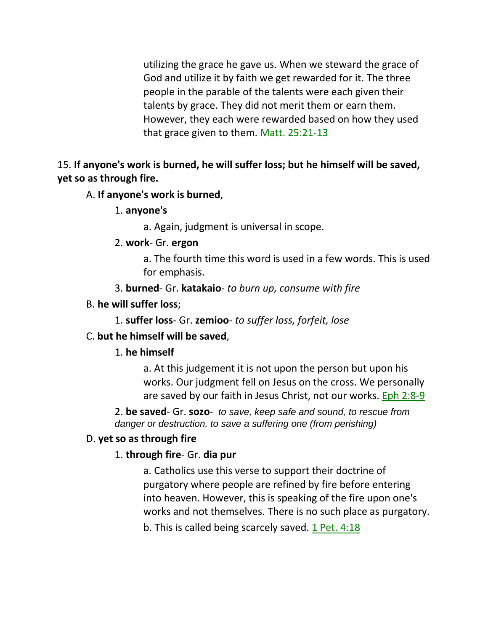utilizing the grace he gave us. When we steward the grace of God and utilize it by faith we get rewarded for it. The three people in the parable of the talents were each given their talents by grace. They did not merit them or earn them. However, they each were rewarded based on how they used that grace given to them. Matt. 25:21-13

15. **If anyone's work is burned, he will suffer loss; but he himself will be saved, yet so as through fire.**

#### A. **If anyone's work is burned**,

1. **anyone's**

a. Again, judgment is universal in scope.

2. **work**- Gr. **ergon**

a. The fourth time this word is used in a few words. This is used for emphasis.

- 3. **burned** Gr. **katakaio** *to burn up, consume with fire*
- B. **he will suffer loss**;

1. **suffer loss**- Gr. **zemioo**- *to suffer loss, forfeit, lose*

#### C. **but he himself will be saved**,

#### 1. **he himself**

a. At this judgement it is not upon the person but upon his works. Our judgment fell on Jesus on the cross. We personally are saved by our faith in Jesus Christ, not our works. Eph 2:8-9

2. **be saved**- Gr. **sozo**- *to save, keep safe and sound, to rescue from danger or destruction, to save a suffering one (from perishing)*

#### D. **yet so as through fire**

#### 1. **through fire**- Gr. **dia pur**

a. Catholics use this verse to support their doctrine of purgatory where people are refined by fire before entering into heaven. However, this is speaking of the fire upon one's works and not themselves. There is no such place as purgatory.

b. This is called being scarcely saved. 1 Pet. 4:18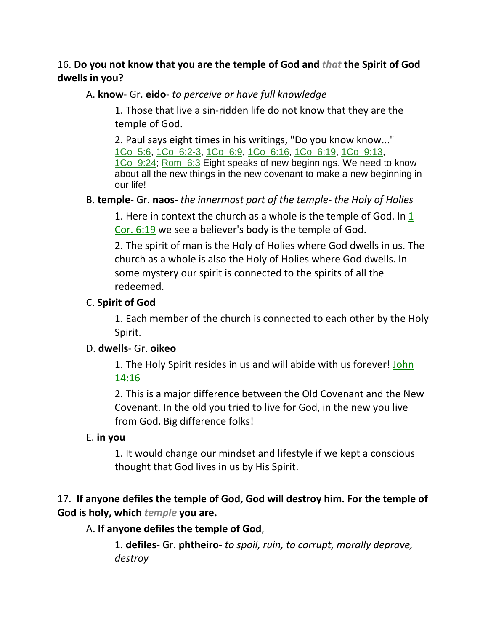### 16. **Do you not know that you are the temple of God and** *that* **the Spirit of God dwells in you?**

A. **know**- Gr. **eido**- *to perceive or have full knowledge*

1. Those that live a sin-ridden life do not know that they are the temple of God.

2. Paul says eight times in his writings, "Do you know know..." 1Co\_5:6, 1Co\_6:2-3, 1Co\_6:9, 1Co\_6:16, 1Co\_6:19, 1Co\_9:13, 1Co 9:24; Rom 6:3 Eight speaks of new beginnings. We need to know about all the new things in the new covenant to make a new beginning in our life!

### B. **temple**- Gr. **naos**- *the innermost part of the temple- the Holy of Holies*

1. Here in context the church as a whole is the temple of God. In  $1$ Cor. 6:19 we see a believer's body is the temple of God.

2. The spirit of man is the Holy of Holies where God dwells in us. The church as a whole is also the Holy of Holies where God dwells. In some mystery our spirit is connected to the spirits of all the redeemed.

### C. **Spirit of God**

1. Each member of the church is connected to each other by the Holy Spirit.

### D. **dwells**- Gr. **oikeo**

1. The Holy Spirit resides in us and will abide with us forever! John 14:16

2. This is a major difference between the Old Covenant and the New Covenant. In the old you tried to live for God, in the new you live from God. Big difference folks!

# E. **in you**

1. It would change our mindset and lifestyle if we kept a conscious thought that God lives in us by His Spirit.

# 17. **If anyone defiles the temple of God, God will destroy him. For the temple of God is holy, which** *temple* **you are.**

# A. **If anyone defiles the temple of God**,

1. **defiles**- Gr. **phtheiro**- *to spoil, ruin, to corrupt, morally deprave, destroy*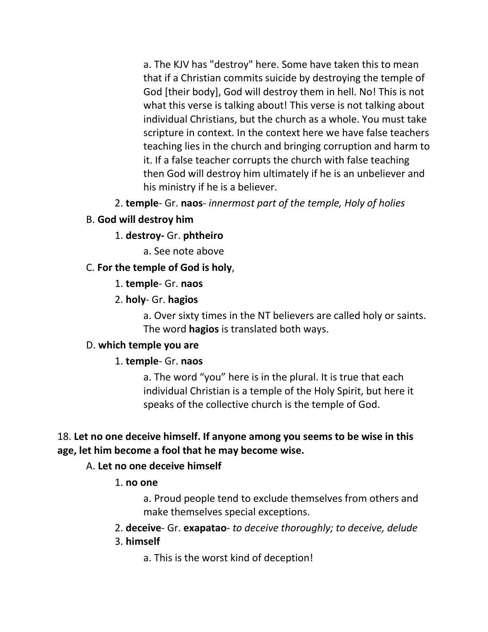a. The KJV has "destroy" here. Some have taken this to mean that if a Christian commits suicide by destroying the temple of God [their body], God will destroy them in hell. No! This is not what this verse is talking about! This verse is not talking about individual Christians, but the church as a whole. You must take scripture in context. In the context here we have false teachers teaching lies in the church and bringing corruption and harm to it. If a false teacher corrupts the church with false teaching then God will destroy him ultimately if he is an unbeliever and his ministry if he is a believer.

2. **temple**- Gr. **naos**- *innermost part of the temple, Holy of holies*

# B. **God will destroy him**

### 1. **destroy-** Gr. **phtheiro**

a. See note above

### C. **For the temple of God is holy**,

#### 1. **temple**- Gr. **naos**

### 2. **holy**- Gr. **hagios**

a. Over sixty times in the NT believers are called holy or saints. The word **hagios** is translated both ways.

### D. **which temple you are**

### 1. **temple**- Gr. **naos**

a. The word "you" here is in the plural. It is true that each individual Christian is a temple of the Holy Spirit, but here it speaks of the collective church is the temple of God.

### 18. **Let no one deceive himself. If anyone among you seems to be wise in this age, let him become a fool that he may become wise.**

### A. **Let no one deceive himself**

### 1. **no one**

a. Proud people tend to exclude themselves from others and make themselves special exceptions.

# 2. **deceive**- Gr. **exapatao**- *to deceive thoroughly; to deceive, delude*

### 3. **himself**

a. This is the worst kind of deception!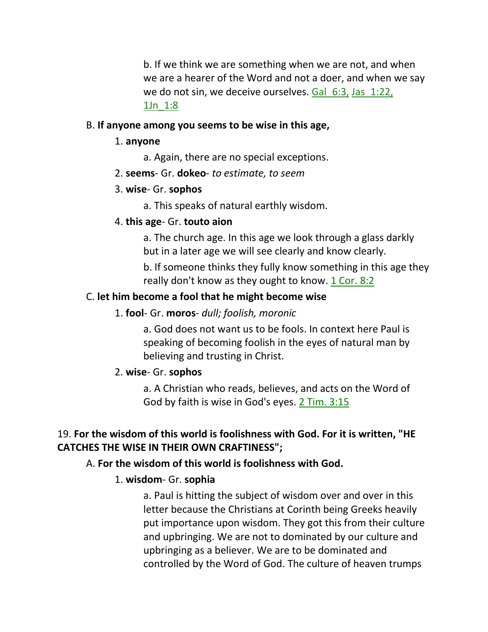b. If we think we are something when we are not, and when we are a hearer of the Word and not a doer, and when we say we do not sin, we deceive ourselves. Gal 6:3, Jas 1:22, 1Jn\_1:8

#### B. **If anyone among you seems to be wise in this age,**

#### 1. **anyone**

a. Again, there are no special exceptions.

2. **seems**- Gr. **dokeo**- *to estimate, to seem*

#### 3. **wise**- Gr. **sophos**

a. This speaks of natural earthly wisdom.

#### 4. **this age**- Gr. **touto aion**

a. The church age. In this age we look through a glass darkly but in a later age we will see clearly and know clearly.

b. If someone thinks they fully know something in this age they really don't know as they ought to know. 1 Cor. 8:2

#### C. **let him become a fool that he might become wise**

#### 1. **fool**- Gr. **moros**- *dull; foolish, moronic*

a. God does not want us to be fools. In context here Paul is speaking of becoming foolish in the eyes of natural man by believing and trusting in Christ.

#### 2. **wise**- Gr. **sophos**

a. A Christian who reads, believes, and acts on the Word of God by faith is wise in God's eyes. 2 Tim. 3:15

#### 19. **For the wisdom of this world is foolishness with God. For it is written, "HE CATCHES THE WISE IN THEIR OWN CRAFTINESS";**

#### A. **For the wisdom of this world is foolishness with God.**

#### 1. **wisdom**- Gr. **sophia**

a. Paul is hitting the subject of wisdom over and over in this letter because the Christians at Corinth being Greeks heavily put importance upon wisdom. They got this from their culture and upbringing. We are not to dominated by our culture and upbringing as a believer. We are to be dominated and controlled by the Word of God. The culture of heaven trumps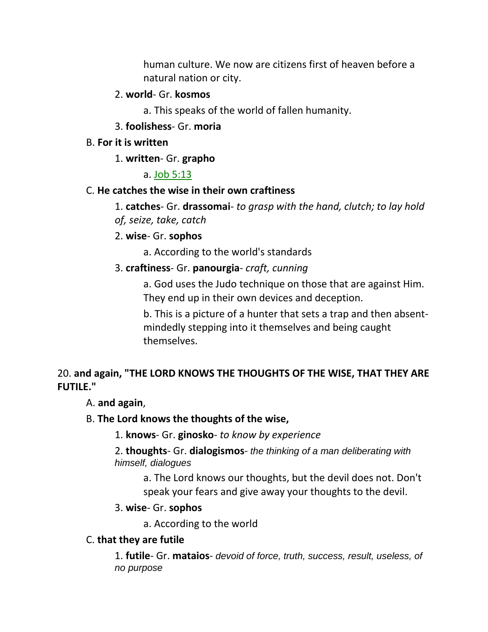human culture. We now are citizens first of heaven before a natural nation or city.

### 2. **world**- Gr. **kosmos**

a. This speaks of the world of fallen humanity.

# 3. **foolishess**- Gr. **moria**

### B. **For it is written**

# 1. **written**- Gr. **grapho**

# a. Job 5:13

# C. **He catches the wise in their own craftiness**

1. **catches**- Gr. **drassomai**- *to grasp with the hand, clutch; to lay hold of, seize, take, catch*

# 2. **wise**- Gr. **sophos**

a. According to the world's standards

# 3. **craftiness**- Gr. **panourgia**- *craft, cunning*

a. God uses the Judo technique on those that are against Him. They end up in their own devices and deception.

b. This is a picture of a hunter that sets a trap and then absentmindedly stepping into it themselves and being caught themselves.

# 20. **and again, "THE LORD KNOWS THE THOUGHTS OF THE WISE, THAT THEY ARE FUTILE."**

# A. **and again**,

# B. **The Lord knows the thoughts of the wise,**

1. **knows**- Gr. **ginosko**- *to know by experience* 

2. **thoughts**- Gr. **dialogismos**- *the thinking of a man deliberating with himself, dialogues*

a. The Lord knows our thoughts, but the devil does not. Don't speak your fears and give away your thoughts to the devil.

# 3. **wise**- Gr. **sophos**

a. According to the world

# C. **that they are futile**

1. **futile**- Gr. **mataios**- *devoid of force, truth, success, result, useless, of no purpose*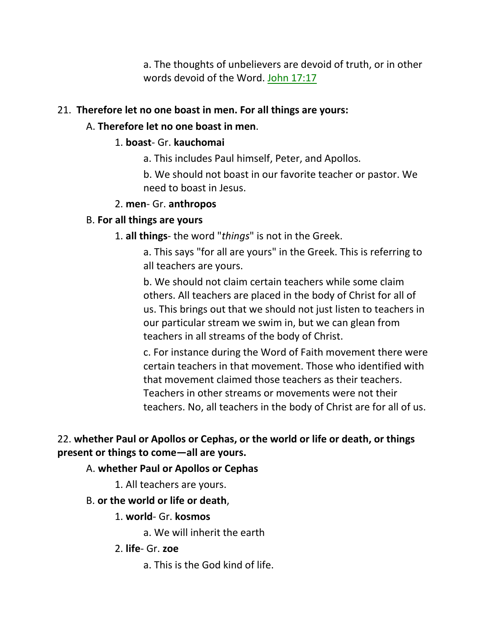a. The thoughts of unbelievers are devoid of truth, or in other words devoid of the Word. John 17:17

### 21. **Therefore let no one boast in men. For all things are yours:**

# A. **Therefore let no one boast in men**.

# 1. **boast**- Gr. **kauchomai**

a. This includes Paul himself, Peter, and Apollos.

b. We should not boast in our favorite teacher or pastor. We need to boast in Jesus.

# 2. **men**- Gr. **anthropos**

# B. **For all things are yours**

1. **all things**- the word "*things*" is not in the Greek.

a. This says "for all are yours" in the Greek. This is referring to all teachers are yours.

b. We should not claim certain teachers while some claim others. All teachers are placed in the body of Christ for all of us. This brings out that we should not just listen to teachers in our particular stream we swim in, but we can glean from teachers in all streams of the body of Christ.

c. For instance during the Word of Faith movement there were certain teachers in that movement. Those who identified with that movement claimed those teachers as their teachers. Teachers in other streams or movements were not their teachers. No, all teachers in the body of Christ are for all of us.

# 22. **whether Paul or Apollos or Cephas, or the world or life or death, or things present or things to come—all are yours.**

# A. **whether Paul or Apollos or Cephas**

1. All teachers are yours.

# B. **or the world or life or death**,

# 1. **world**- Gr. **kosmos**

a. We will inherit the earth

- 2. **life** Gr. **zoe**
	- a. This is the God kind of life.